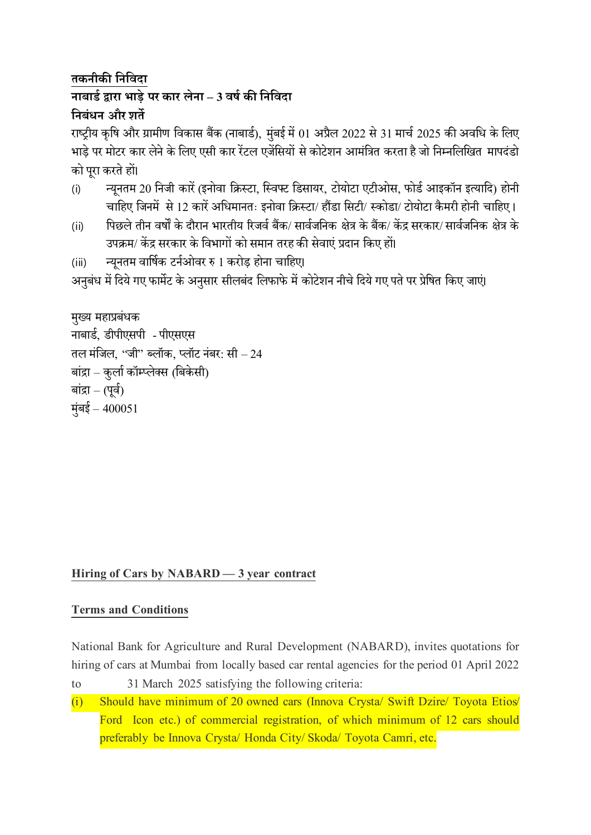## **तकनीकी नननिदा नाबार्ड द्वारा भाड़े पर कार लेना – 3 िर्ड की नननिदा ननबंधन और शते**

राष्ट्रीय कृषि और ग्रामीण विकास बैंक (नाबार्ड), मुंबई में 01 अप्रैल 2022 से 31 मार्च 2025 की अवधि के लिए भाड़े पर मोटर कार लेने के लिए एसी कार रेंटल एजेंसियों से कोटेशन आमंत्रित करता है जो निम्नलिखित मापदंडो कोपूरा करतेहों।

- (i) न्यूनतम 20 निजी कारें (इनोवा क्रिस्टा, स्विफ्ट डिसायर, टोयोटा एटीओस, फोर्ड आइकॉन इत्यादि) होनी चाहिए जिनमें से 12 कारें अधिमानतः इनोवा क्रिस्टा/ हौंडा सिटी/ स्कोडा/ टोयोटा कैमरी होनी चाहिए ।
- (ii) पिछले तीन वर्षों के दौरान भारतीय रिजर्व बैंक/ सार्वजनिक क्षेत्र के बैंक/ केंद्र सरकार/ सार्वजनिक क्षेत्र के उपक्रम/ केंद्र सरकार के विभागों को समान तरह की सेवाएं प्रदान किए हों।
- (iii) न्यूनतम वार्षिक टर्नओवर रु 1 करोड़ होना चाहिए।

अनुबंध में दिये गए फार्मेट के अनुसार सीलबंद लिफाफे में कोटेशन नीचे दिये गए पते पर प्रेषित किए जाएं।

```
मुख्य महाप्रबंधक
नाबार्ड, र्ीपीएसपी -पीएसएस
तल मंजिल, ''जी'' ब्लॉक, प्लॉट नंबर: सी – 24
बांद्रा – कुर्ला कॉम्प्लेक्स (बिकेसी)
बांद्रा – (पूर्व)
मंबई – 400051
```
## **Hiring of Cars by NABARD — 3year contract**

### **Terms and Conditions**

National Bank for Agriculture and Rural Development (NABARD), invites quotations for hiring of cars at Mumbai from locally based car rental agencies for the period 01 April 2022

- to 31 March 2025 satisfying the following criteria:
- (i) Should have minimum of 20 owned cars (Innova Crysta/ Swift Dzire/ Toyota Etios/ Ford Icon etc.) of commercial registration, of which minimum of 12 cars should preferably be Innova Crysta/ Honda City/ Skoda/ Toyota Camri, etc.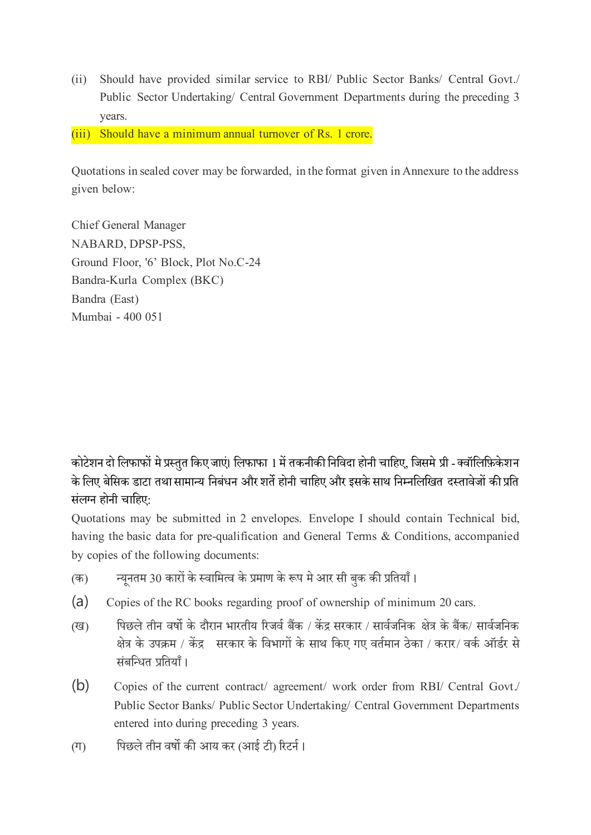- (ii) Should have provided similar service to RBI/ Public Sector Banks/ Central Govt./ Public Sector Undertaking/ Central Government Departments during the preceding 3 years.
- (iii) Should have a minimum annual turnover of Rs. 1 crore.

Quotations in sealed cover may be forwarded, in the format given in Annexure to the address given below:

Chief General Manager NABARD, DPSP-PSS, Ground Floor, '6' Block, Plot No.C-24 Bandra-Kurla Complex (BKC) Bandra (East) Mumbai - 400 051

कोटेशन दो लिफाफों मे प्रस्तुत किए जाएं। लिफाफा 1 में तकनीकी निविदा होनी चाहिए, जिसमे प्री - क्वॉलिफ़िकेशन के लिए बेसिक डाटा तथा सामान्य निबंधन और शर्ते होनी चाहिए और इसके साथ निम्नलिखित दस्तावेजों की प्रति संलग्न होनी चाहिए:

Quotations may be submitted in 2 envelopes. Envelope I should contain Technical bid, having the basic data for pre-qualification and General Terms & Conditions, accompanied by copies of the following documents:

- (क) न्यूनतम 30 कारों के स्वामित्व के प्रमाण के रूप मे आर सी बुक की प्रतियाँ ।
- (a) Copies of the RC books regarding proof of ownership of minimum 20 cars.
- (ख) पिछले तीन वर्षो के दौरान भारतीय रिजर्व बैंक / केंद्र सरकार / सार्वजनिक क्षेत्र के बैंक/ सार्वजनिक क्षेत्र के उपक्रम / केंद्र सरकार के विभागों के साथ किए गए वर्तमान ठेका / करार/ वर्क ऑर्डर से संबन्धित प्रतियाँ।
- (b) Copies of the current contract/ agreement/ work order from RBI/ Central Govt./ Public Sector Banks/ Public Sector Undertaking/ Central Government Departments entered into during preceding 3 years.
- (ग) पिछले तीन वर्षो की आय कर (आई टी) रिटर्न।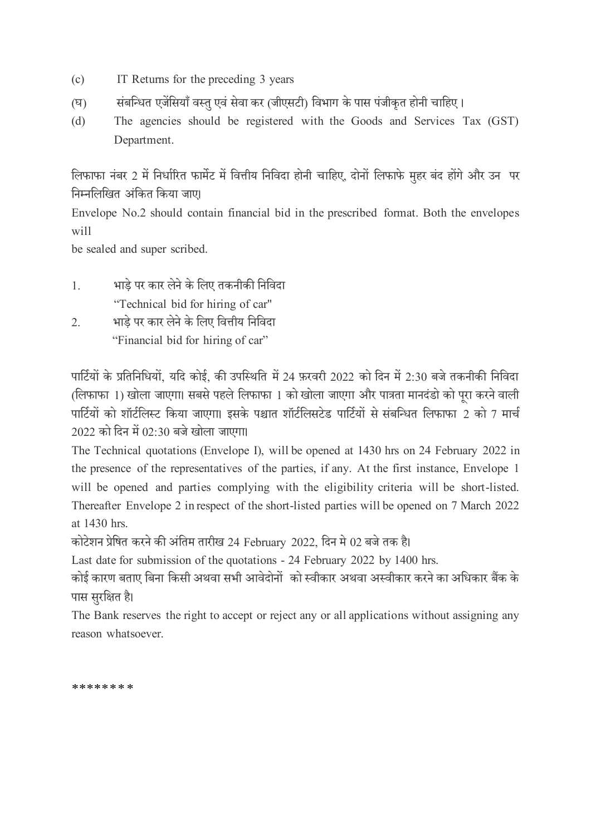- (c) IT Returns for the preceding 3 years
- (घ) संबन्धित एजेंसियाँ वस्तु एवं सेवा कर (जीएसटी) विभाग के पास पंजीकृत होनी चाहिए ।
- (d) The agencies should be registered with the Goods and Services Tax (GST) Department.

लिफाफा नंबर 2 में निर्धारित फार्मेट में वित्तीय निविदा होनी चाहिए, दोनों लिफाफे मुहर बंद होंगे और उन पर निम्नलिखित अंकित किया जाए।

Envelope No.2 should contain financial bid in the prescribed format. Both the envelopes will

be sealed and super scribed.

- 1. भाड़े पर कार लेने के षलए तकनीकी षनषिदा "Technical bid for hiring of car"
- 2. भाड़े पर कार लेने के लिए वित्तीय निविदा "Financial bid for hiring of car"

पार्टियों के प्रतिनिधियों, यदि कोई, की उपस्थिति में 24 फ़रवरी 2022 को दिन में 2:30 बजे तकनीकी निविदा (लिफाफा 1) खोला जाएगा। सबसे पहले लिफाफा 1 को खोला जाएगा और पात्रता मानदंडो को परा करने वाली पार्टियों को शॉर्टलिस्ट किया जाएगा। इसके पश्चात शॉर्टलिसटेड पार्टियों से संबन्धित लिफाफा 2 को 7 मार्च  $2022$  को दिन में  $02:30$  बजे खोला जाएगा।

The Technical quotations (Envelope I), will be opened at 1430 hrs on 24 February 2022 in the presence of the representatives of the parties, if any. At the first instance, Envelope 1 will be opened and parties complying with the eligibility criteria will be short-listed. Thereafter Envelope 2 in respect of the short-listed parties will be opened on 7 March 2022 at 1430 hrs.

कोटेशन प्रेषित करने की अंतिम तारीख 24 February 2022, दिन मे 02 बजे तक है।

Last date for submission of the quotations - 24 February 2022 by 1400 hrs.

कोई कारण बताए बिना किसी अथवा सभी आवेदोनों को स्वीकार अथवा अस्वीकार करने का अधिकार बैंक के पास सुरक्षित है।

The Bank reserves the right to accept or reject any or all applications without assigning any reason whatsoever.

\*\*\*\*\*\*\*\*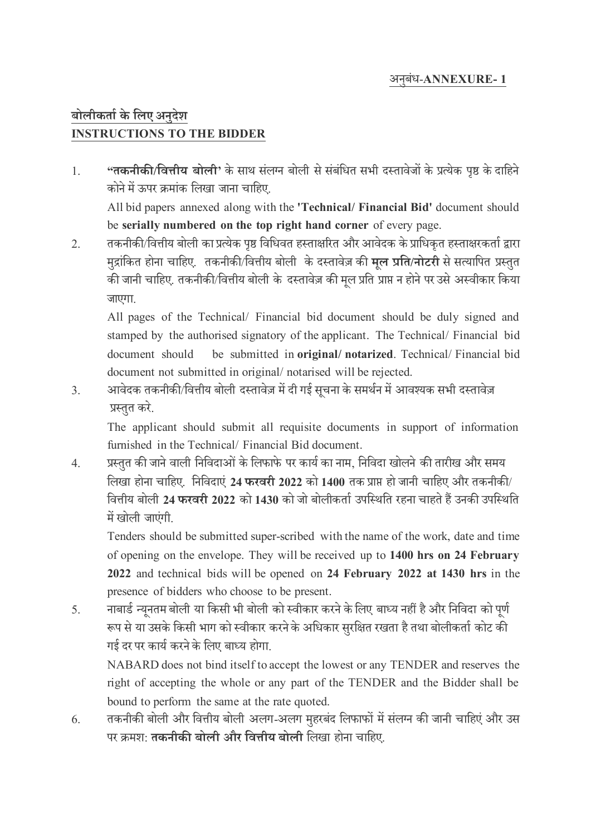#### अन बुंि-**ANNEXURE- 1**

# **बोलीकताडके नलए अनुदेश INSTRUCTIONS TO THE BIDDER**

1. **"तकनीकी/नित्तीय बोली'** केसाथ सुंलग्न बोली सेसुंबुंषित सभी दस्तािेजों के प्रत्येक पृष्ठ केदाषहने कोने में ऊपर क्रमांक लिखा जाना चाहिए.

All bid papers annexed along with the **'Technical/ Financial Bid'** document should be **serially numbered on the top right hand corner** of every page.

2. तकनीकी/वित्तीय बोली का प्रत्येक पृष्ठ विधिवत हस्ताक्षरित और आवेदक के प्राधिकृत हस्ताक्षरकर्ता द्वारा म द्राुंषकत होना र्ाषहए. तकनीकी/षित्तीय बोली के दस्तािेज़ की **मूल प्रनत/नोटरी** से सत्याषपत प्रस्त त .<br>की जानी चाहिए. तकनीकी/वित्तीय बोली के दस्तावेज़ की मल प्रति प्राप्त न होने पर उसे अस्वीकार किया जाएगा.

All pages of the Technical/ Financial bid document should be duly signed and stamped by the authorised signatory of the applicant. The Technical/ Financial bid document should be submitted in **original/ notarized**. Technical/ Financial bid document not submitted in original/ notarised will be rejected.

3. अावेदक तकनीकी/वित्तीय बोली दस्तावेज़ में दी गई सूचना के समर्थन में आवश्यक सभी दस्तावेज़ प्रस्तत करे.

The applicant should submit all requisite documents in support of information furnished in the Technical/ Financial Bid document.

4. प्रस्तुत की जाने वाली निविदाओं के लिफाफे पर कार्य का नाम, निविदा खोलने की तारीख और समय लिखा होना चाहिए. निविदाएं 24 **फरवरी 2022** को 1400 तक प्राप्त हो जानी चाहिए और तकनीकी/ षित्तीय बोली **24 फरिरी 2022** को **1430** को जो बोलीकताड उपषस्थषत रहना र्ाहते हैं उनकी उपषस्थषत में खोली जाएंगी.

Tenders should be submitted super-scribed with the name of the work, date and time of opening on the envelope. They will be received up to **1400 hrs on 24 February 2022** and technical bids will be opened on **24 February 2022 at 1430 hrs** in the presence of bidders who choose to be present.

5. नाबार्ड न्यूनतम बोली या किसी भी बोली को स्वीकार करने के लिए बाध्य नहीं है और निविदा को पूर्ण रूप से या उसके किसी भाग को स्वीकार करने के अधिकार सुरक्षित रखता है तथा बोलीकर्ता कोट की गई दर पर कार्य करने के लिए बाध्य होगा.

NABARD does not bind itself to accept the lowest or any TENDER and reserves the right of accepting the whole or any part of the TENDER and the Bidder shall be bound to perform the same at the rate quoted.

6. तकनीकी बोली और वित्तीय बोली अलग-अलग मुहरबंद लिफाफों में संलग्न की जानी चाहिएं और उस पर िमश: **तकनीकी बोली और नित्तीय बोली** षलिा होना र्ाषहए.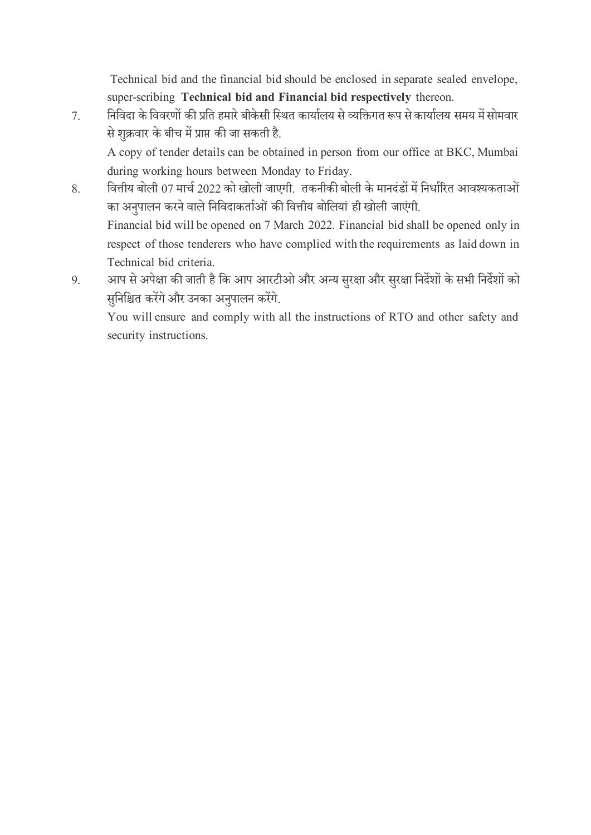Technical bid and the financial bid should be enclosed in separate sealed envelope, super-scribing **Technical bid and Financial bid respectively** thereon.

7. निविदा के विवरणों की प्रति हमारे बीकेसी स्थित कार्यालय से व्यक्तिगत रूप से कार्यालय समय में सोमवार से शुक्रवार के बीच में प्राप्त की जा सकती है.

A copy of tender details can be obtained in person from our office at BKC, Mumbai during working hours between Monday to Friday.

- 8. बित्तीय बोली 07 मार्च 2022 को खोली जाएगी. तकनीकी बोली के मानदंडों में निर्धारित आवश्यकताओं का अनुपालन करने वाले निविदाकर्ताओं की वित्तीय बोलियां ही खोली जाएंगी. Financial bid will be opened on 7 March 2022. Financial bid shall be opened only in respect of those tenderers who have complied with the requirements as laid down in Technical bid criteria.
- 9. आप से अपेक्षा की जाती है कि आप आरटीओ और अन्य सुरक्षा और सुरक्षा निर्देशों के सभी निर्देशों को सनिश्चित करेंगे और उनका अनुपालन करेंगे.

You will ensure and comply with all the instructions of RTO and other safety and security instructions.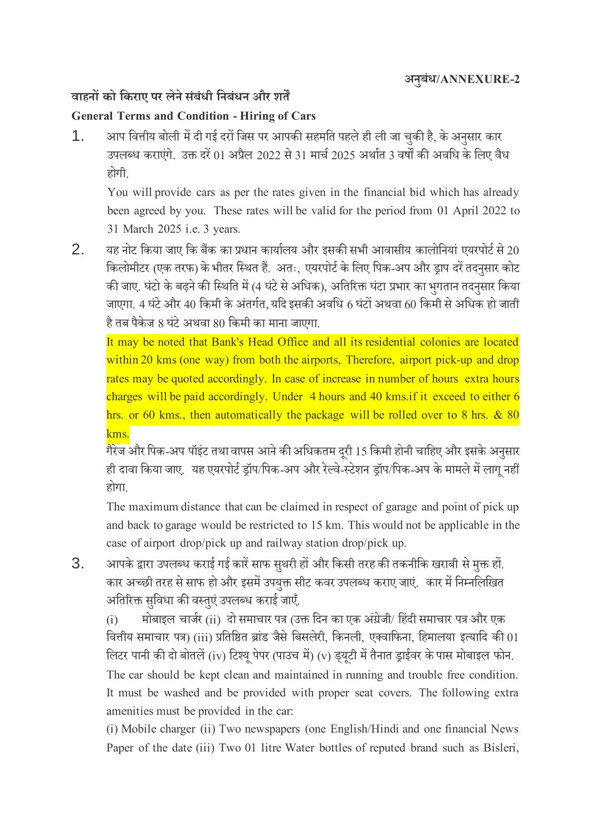# **िाहनों को नकराए पर लेनेसंबंधी ननबंधन और शतें**

### **General Terms and Condition - Hiring of Cars**

1. अाप वित्तीय बोली में दी गई दरों जिस पर आपकी सहमति पहले ही ली जा चुकी है, के अनुसार कार उपलब्ध कराएंगे. उक्त दरें 01 अप्रैल 2022 से 31 मार्च 2025 अर्थात 3 वर्षों की अवधि के लिए वैध होगी.

You will provide cars as per the rates given in the financial bid which has already been agreed by you. These rates will be valid for the period from 01 April 2022 to 31 March 2025 i.e.3 years.

 $2.$  यह नोट किया जाए कि बैंक का प्रधान कार्यालय और इसकी सभी आवासीय कालोनियां एयरपोर्ट से 20 किलोमीटर (एक तरफ) के भीतर स्थित हैं. अतः, एयरपोर्ट के लिए पिक-अप और ड्राप दरें तदनसार कोट की जाए. घंटो के बढ़ने की स्थिति में (4 घंटे से अधिक), अतिरिक्त घंटा प्रभार का भगतान तदनसार किया जाएगा. 4 घंटे और 40 किमी के अंतर्गत, यदि इसकी अवधि 6 घंटों अथवा 60 किमी से अधिक हो जाती है तब पैकेज 8 घंटे अथवा 80 किमी का माना जाएगा.

It may be noted that Bank's Head Office and all its residential colonies are located within 20 kms (one way) from both the airports, Therefore, airport pick-up and drop rates may be quoted accordingly. In case of increase in number of hours extra hours charges will be paid accordingly. Under 4 hours and 40 kms.if it exceed to either 6 hrs. or 60 kms., then automatically the package will be rolled over to 8 hrs. & 80 kms.

गैरेज और पिक-अप पॉइंट तथा वापस आने की अधिकतम दूरी 15 किमी होनी चाहिए और इसके अनुसार ही दावा किया जाए. यह एयरपोर्ट ड्रॉप/पिक-अप और रेल्वे-स्टेशन ड्रॉप/पिक-अप के मामले में लागू नहीं होगा.

The maximum distance that can be claimed in respect of garage and point of pick up and back to garage would be restricted to 15km. This would not be applicable in the case of airport drop/pick up and railway station drop/pick up.

3. अापके द्वारा उपलब्ध कराई गई कारें साफ सुथरी हों और किसी तरह की तकनीकि खराबी से मुक्त हों. कार अच्छी तरह से साफ हो और इसमें उपयुक्त सीट कवर उपलब्ध कराए जाएं. कार में निम्नलिखित अतिरिक्त सुविधा की वस्तुएं उपलब्ध कराई जाएँ.

(i) मोबाइल चार्जर (ii) दो समाचार पत्र (उक्त दिन का एक अंग्रेजी/ हिंदी समाचार पत्र और एक वित्तीय समाचार पत्र) (iii) प्रतिष्ठित ब्रांड जैसे बिसलेरी, किनली, एक्वाफिना, हिमालया इत्यादि की 01 लिटर पानी की दो बोतलें (iv) टिश्यू पेपर (पाउच में) (v) ड्यूटी में तैनात ड्राईवर के पास मोबाइल फोन. The car should be kept clean and maintained in running and trouble free condition. It must be washed and be provided with proper seat covers. The following extra amenities must be provided in the car:

(i) Mobile charger (ii) Two newspapers (one English/Hindi and one financial News Paper of the date (iii) Two 01 litre Water bottles of reputed brand such as Bisleri,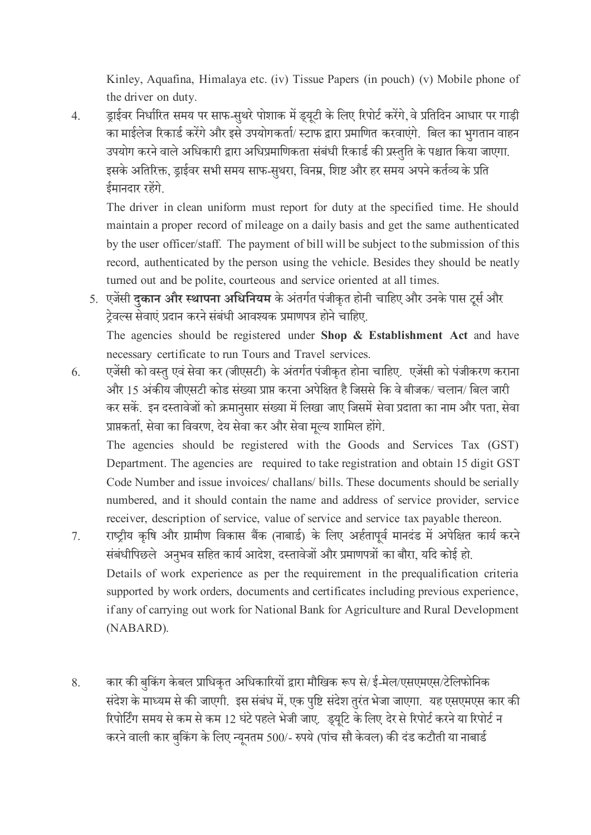Kinley, Aquafina, Himalaya etc. (iv) Tissue Papers (in pouch) (v) Mobile phone of the driver on duty.

4. ड्राईवर निर्धारित समय पर साफ-सुथरे पोशाक में ड्यूटी के लिए रिपोर्ट करेंगे, वे प्रतिदिन आधार पर गाड़ी का माईलेज रिकार्ड करेंगे और इसे उपयोगकर्ता/ स्टाफ द्वारा प्रमाणित करवाएंगे. बिल का भुगतान वाहन उपयोग करने वाले अधिकारी द्वारा अधिप्रमाणिकता संबंधी रिकार्ड की प्रस्तुति के पश्चात किया जाएगा. इसके अतिरिक्त, ड्राईवर सभी समय साफ-सथरा, विनम्र, शिष्ट और हर समय अपने कर्तव्य के प्रति ईमानदार रहेंगे.

The driver in clean uniform must report for duty at the specified time. He should maintain a proper record of mileage on a daily basis and get the same authenticated bythe user officer/staff. The payment of bill will be subject to the submission of this record, authenticated by the person using the vehicle. Besides they should be neatly turned out and be polite, courteous and service oriented at all times.

- 5. एजेंसी **दुकान और स्थापना अधिनियम** के अंतर्गत पंजीकृत होनी चाहिए और उनके पास टूर्स और टेवल्स सेवाएं प्रदान करने संबंधी आवश्यक प्रमाणपत्र होने चाहिए. The agencies should be registered under **Shop & Establishment Act** and have necessary certificate to run Tours and Travel services.
- 6. एजेंसी को वस्तु एवं सेवा कर (जीएसटी) के अंतर्गत पंजीकृत होना चाहिए. एजेंसी को पंजीकरण कराना और 15 अंकीय जीएसटी कोड संख्या प्राप्त करना अपेक्षित है जिससे कि वे बीजक/ चलान/ बिल जारी कर सकें. इन दस्तावेजों को क्रमानसार संख्या में लिखा जाए जिसमें सेवा प्रदाता का नाम और पता, सेवा प्राप्तकर्ता, सेवा का विवरण, देय सेवा कर और सेवा मूल्य शामिल होंगे.

The agencies should be registered with the Goods and Services Tax (GST) Department. The agencies are required to take registration and obtain 15 digit GST Code Number and issue invoices/ challans/ bills. These documents should be serially numbered, and it should contain the name and address of service provider, service receiver, description of service, value of service and service tax payable thereon.

- 7. राष्ट्रीय कृषि और ग्रामीण विकास बैंक (नाबार्ड) के लिए अर्हतापूर्व मानदंड में अपेक्षित कार्य करने संबंधीपिछले अनुभव सहित कार्य आदेश, दस्तावेजों और प्रमाणपत्रों का बौरा, यदि कोई हो. Details of work experience as per the requirement in the prequalification criteria supported by work orders, documents and certificates including previous experience, if any of carrying out work for National Bank for Agriculture and Rural Development (NABARD).
- 8. कार की बकिंग केबल प्राधिकृत अधिकारियों द्वारा मौखिक रूप से/ ई-मेल/एसएमएस/टेलिफोनिक संदेश के माध्यम से की जाएगी. इस संबंध में, एक पृष्टि संदेश तरंत भेजा जाएगा. यह एसएमएस कार की रिपोर्टिंग समय से कम से कम 12 घंटे पहले भेजी जाए. ड्यूटि के लिए देर से रिपोर्ट करने या रिपोर्ट न करने वाली कार बुकिंग के लिए न्यूनतम 500/- रुपये (पांच सौ केवल) की दंड कटौती या नाबार्ड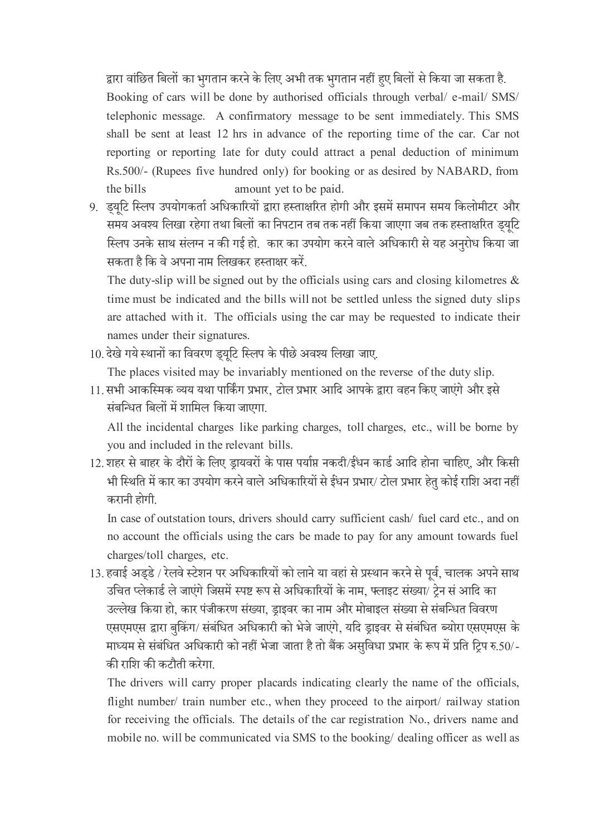द्वारा वांछित बिलों का भगतान करने के लिए अभी तक भगतान नहीं हुए बिलों से किया जा सकता है. Booking of cars will be done by authorised officials through verbal/ e-mail/ SMS/ telephonic message. A confirmatory message to be sent immediately. This SMS shall be sent at least 12 hrs in advance of the reporting time of the car. Car not reporting or reporting late for duty could attract a penal deduction of minimum Rs.500/- (Rupees five hundred only) for booking or as desired by NABARD, from the bills amount yet to be paid.

9. डयटि स्लिप उपयोगकर्ता अधिकारियों द्वारा हस्ताक्षरित होगी और इसमें समापन समय किलोमीटर और समय अवश्य लिखा रहेगा तथा बिलों का निपटान तब तक नहीं किया जाएगा जब तक हस्ताक्षरित ड्यूटि स्लिप उनके साथ संलग्न न की गई हो. कार का उपयोग करने वाले अधिकारी से यह अनुरोध किया जा सकता है षक िे अपना नाम षलिकर हस्ताक्षर करें.

The duty-slip will be signed out by the officials using cars and closing kilometres  $\&$ time must be indicated and the bills will not be settled unless the signed duty slips are attached with it. The officials using the car may be requested to indicate their names under their signatures.

10. देखे गये स्थानों का विवरण ड्यूटि स्लिप के पीछे अवश्य लिखा जाए.

The places visited may be invariably mentioned on the reverse of the duty slip.

11. सभी आकस्मिक व्यय यथा पार्किंग प्रभार, टोल प्रभार आदि आपके द्वारा वहन किए जाएंगे और इसे संबन्धित बिलों में शामिल किया जाएगा.

All the incidental charges like parking charges, toll charges, etc., will be borne by you and included in the relevant bills.

12. शहर से बाहर के दौरों के लिए ड्रायवरों के पास पर्याप्त नकदी/ईंधन कार्ड आदि होना चाहिए, और किसी भी स्थिति में कार का उपयोग करने वाले अधिकारियों से ईंधन प्रभार/ टोल प्रभार हेतु कोई राशि अदा नहीं करानी होगी.

In case of outstation tours, drivers should carry sufficient cash/ fuel card etc., and on no account the officials using the cars be made to pay for any amount towards fuel charges/toll charges, etc.

13. हवाई अर्ड्डे / रेलवे स्टेशन पर अधिकारियों को लाने या वहां से प्रस्थान करने से पूर्व, चालक अपने साथ उचित प्लेकार्ड ले जाएंगे जिसमें स्पष्ट रूप से अधिकारियों के नाम, फ्लाइट संख्या/ ट्रेन सं आदि का उल्लेख किया हो, कार पंजीकरण संख्या, ड्राइवर का नाम और मोबाइल संख्या से संबन्धित विवरण एसएमएस द्वारा बुकिंग/ संबंधित अधिकारी को भेजे जाएंगे, यदि ड्राइवर से संबंधित ब्योरा एसएमएस के माध्यम से संबंधित अधिकारी को नहीं भेजा जाता है तो बैंक असुविधा प्रभार के रूप में प्रति ट्रिप रु.50/-की राषश की कटौती करेगा.

The drivers will carry proper placards indicating clearly the name of the officials, flight number/ train number etc., when they proceed to the airport/ railway station for receiving the officials. The details of the car registration No., drivers name and mobile no. will be communicated via SMS to the booking/ dealing officer as well as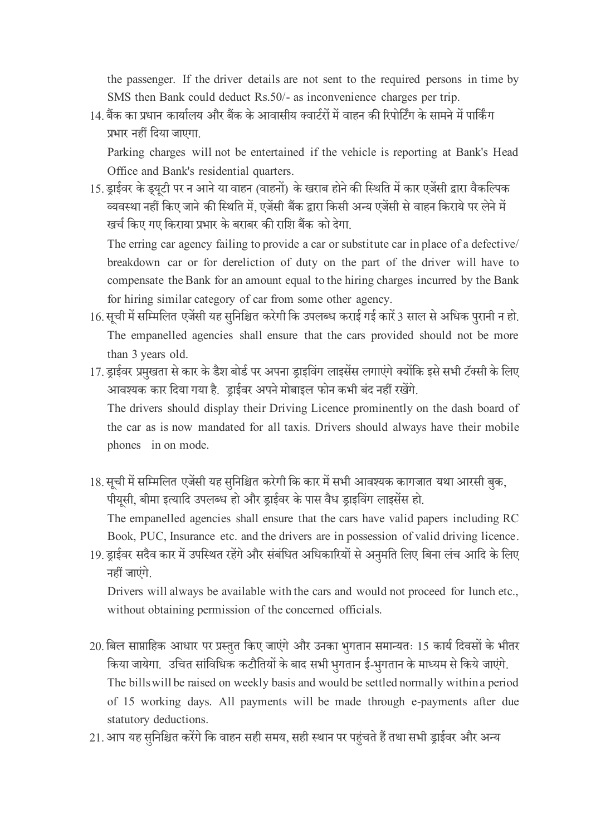the passenger. If the driver details are not sent to the required persons in time by SMS then Bank could deduct Rs.50/- as inconvenience charges per trip.

14. बैंक का प्रधान कार्यालय और बैंक के आवासीय क्वार्टरों में वाहन की रिपोर्टिंग के सामने में पार्किंग प्रभार नहीं षदया जाएगा.

Parking charges will not be entertained if the vehicle is reporting at Bank's Head Office and Bank's residential quarters.

15. ड्राईवर के ड्यूटी पर न आने या वाहन (वाहनों) के खराब होने की स्थिति में कार एजेंसी द्वारा वैकल्पिक व्यिस्था नहीं षकए जाने की षस्थषत में,एजेंसी बैंक द्वारा षकसी अन्य एजेंसी से िाहन षकराये पर लेने में िर्ड षकए गए षकराया प्रभार के बराबर की राषश बैंक को देगा.

The erring car agency failing to provide a car or substitute car in place of a defective/ breakdown car or for dereliction of duty on the part of the driver will have to compensate the Bank for an amount equal to the hiring charges incurred by the Bank for hiring similar category of car from some other agency.

- 16. सूची में सम्मिलित एजेंसी यह सुनिश्चित करेगी कि उपलब्ध कराई गई कारें 3 साल से अधिक पुरानी न हो. The empanelled agencies shall ensure that the cars provided should not be more than 3 years old.
- 17. ड्राईवर प्रमुखता से कार के डैश बोर्ड पर अपना ड्राइविंग लाइसेंस लगाएंगे क्योंकि इसे सभी टॅक्सी के लिए आवश्यक कार दिया गया है. ड्राईवर अपने मोबाइल फोन कभी बंद नहीं रखेंगे. The drivers should display their Driving Licence prominently on the dash board of the car as is now mandated for all taxis. Drivers should always have their mobile phones in on mode.
- 18. सूची में सम्मिलित एजेंसी यह सुनिश्चित करेगी कि कार में सभी आवश्यक कागजात यथा आरसी बुक, पीयूसी, बीमा इत्यादि उपलब्ध हो और ड्राईवर के पास वैध ड्राइविंग लाइसेंस हो.

The empanelled agencies shall ensure that the cars have valid papers including RC Book, PUC, Insurance etc. and the drivers are in possession of valid driving licence.

19. ड्राईवर सदैव कार में उपस्थित रहेंगे और संबंधित अधिकारियों से अनुमति लिए बिना लंच आदि के लिए नहीं जाएुंगे.

Drivers will always be available with the cars and would not proceed for lunch etc., without obtaining permission of the concerned officials.

- 20. बिल साप्ताहिक आधार पर प्रस्तुत किए जाएंगे और उनका भुगतान समान्यतः 15 कार्य दिवसों के भीतर किया जायेगा. उचित सांविधिक कटौतियों के बाद सभी भुगतान ई-भुगतान के माध्यम से किये जाएंगे. The bills will be raised on weekly basis and would be settled normally within a period of 15 working days. All payments will be made through e-payments after due statutory deductions.
- 21. आप यह सुनिश्चित करेंगे कि वाहन सही समय, सही स्थान पर पहुंचते हैं तथा सभी ड्राईवर और अन्य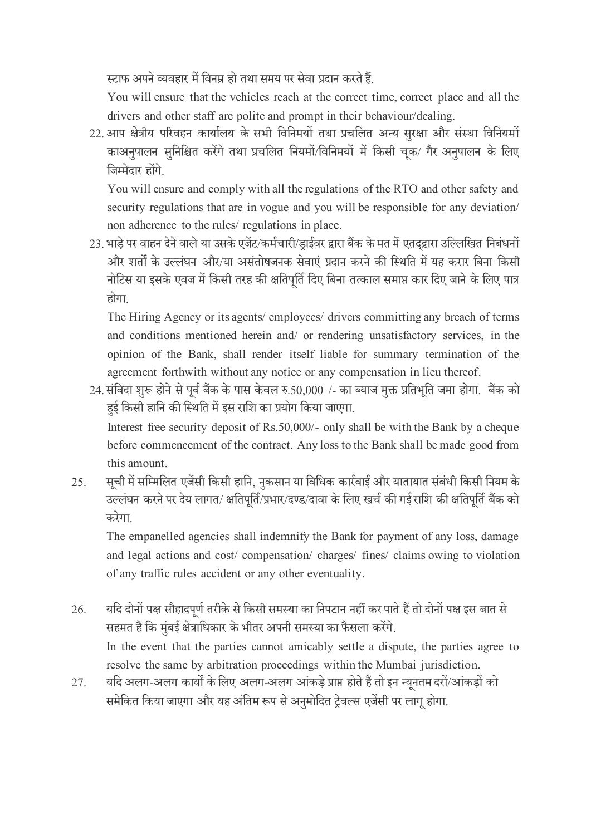स्टाफ अपने व्यवहार में विनम्र हो तथा समय पर सेवा प्रदान करते हैं.

You will ensure that the vehicles reach at the correct time, correct place and all the drivers and other staff are polite and prompt in their behaviour/dealing.

22. आप क्षेत्रीय परिवहन कार्यालय के सभी विनिमयों तथा प्रचलित अन्य सुरक्षा और संस्था विनियमों काअनुपालन सुनिश्चित करेंगे तथा प्रचलित नियमों/विनिमयों में किसी चूक/ गैर अनुपालन के लिए षजम्मेदार होंगे.

You will ensure and comply with all the regulations of the RTO and other safety and security regulations that are in vogue and you will be responsible for any deviation/ non adherence to the rules/ regulations in place.

23. भाड़े पर वाहन देने वाले या उसके एजेंट/कर्मचारी/ड्राईवर द्वारा बैंक के मत में एतद्द्वारा उल्लिखित निबंधनों और शर्तों के उल्लंघन और/या असंतोषजनक सेवाएं प्रदान करने की स्थिति में यह करार बिना किसी नोटिस या इसके एवज में किसी तरह की क्षतिपर्ति दिए बिना तत्काल समाप्त कार दिए जाने के लिए पात्र होगा.

The Hiring Agency or its agents/ employees/ drivers committing any breach of terms and conditions mentioned herein and/ or rendering unsatisfactory services, in the opinion of the Bank, shall render itself liable for summary termination of the agreement forthwith without any notice or any compensation in lieu thereof.

24. संविदा शुरू होने से पूर्व बैंक के पास केवल रु.50,000 /- का ब्याज मुक्त प्रतिभूति जमा होगा. बैंक को हुई किसी हानि की स्थिति में इस राशि का प्रयोग किया जाएगा.

Interest free security deposit of Rs.50,000/- only shall be with the Bank by a cheque before commencement of the contract. Any loss to the Bank shall be made good from this amount.

25. सूची में सम्मिलित एजेंसी किसी हानि, नुकसान या विधिक कार्रवाई और यातायात संबंधी किसी नियम के उल्लंघन करने पर देय लागत/ क्षतिपूर्ति/प्रभार/दण्ड/दावा के लिए खर्च की गई राशि की क्षतिपूर्ति बैंक को करेगा.

The empanelled agencies shall indemnify the Bank for payment of any loss, damage and legal actions and cost/ compensation/ charges/ fines/ claims owing to violation of any traffic rules accident or any other eventuality.

- 26. यदि दोनों पक्ष सौहादपूर्ण तरीके से किसी समस्या का निपटान नहीं कर पाते हैं तो दोनों पक्ष इस बात से सहमत है कि मुंबई क्षेत्राधिकार के भीतर अपनी समस्या का फैसला करेंगे. In the event that the parties cannot amicably settle a dispute, the parties agree to resolve the same by arbitration proceedings within the Mumbai jurisdiction.
- 27. यदि अलग-अलग कार्यों के लिए अलग-अलग आंकड़े प्राप्त होते हैं तो इन न्यूनतम दरों/आंकड़ों को समेकित किया जाएगा और यह अंतिम रूप से अनुमोदित ट्रेवल्स एजेंसी पर लागू होगा.